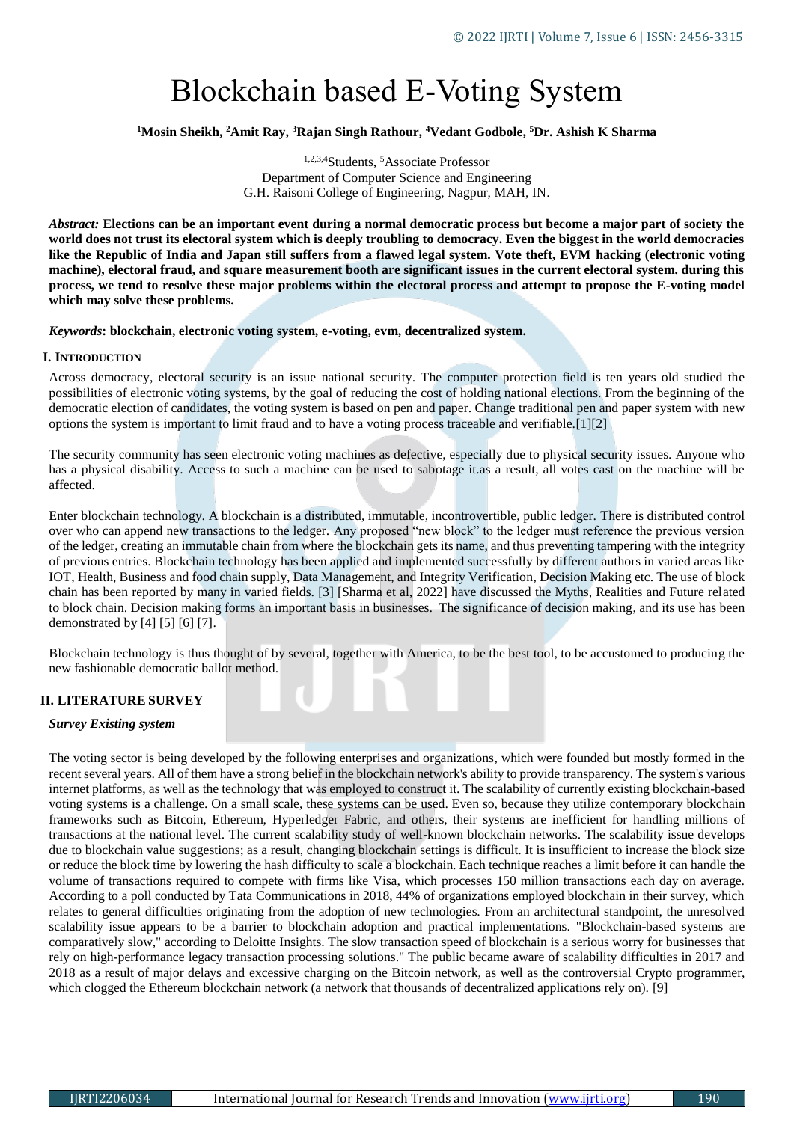# Blockchain based E-Voting System

**<sup>1</sup>Mosin Sheikh, <sup>2</sup>Amit Ray, <sup>3</sup>Rajan Singh Rathour, <sup>4</sup>Vedant Godbole, <sup>5</sup>Dr. Ashish K Sharma**

1,2,3,4Students, <sup>5</sup>Associate Professor Department of Computer Science and Engineering G.H. Raisoni College of Engineering, Nagpur, MAH, IN.

*Abstract:* **Elections can be an important event during a normal democratic process but become a major part of society the world does not trust its electoral system which is deeply troubling to democracy. Even the biggest in the world democracies like the Republic of India and Japan still suffers from a flawed legal system. Vote theft, EVM hacking (electronic voting machine), electoral fraud, and square measurement booth are significant issues in the current electoral system. during this process, we tend to resolve these major problems within the electoral process and attempt to propose the E-voting model which may solve these problems.** 

*Keywords***: blockchain, electronic voting system, e-voting, evm, decentralized system.**

#### **I. INTRODUCTION**

Across democracy, electoral security is an issue national security. The computer protection field is ten years old studied the possibilities of electronic voting systems, by the goal of reducing the cost of holding national elections. From the beginning of the democratic election of candidates, the voting system is based on pen and paper. Change traditional pen and paper system with new options the system is important to limit fraud and to have a voting process traceable and verifiable.[1][2]

The security community has seen electronic voting machines as defective, especially due to physical security issues. Anyone who has a physical disability. Access to such a machine can be used to sabotage it.as a result, all votes cast on the machine will be affected.

Enter blockchain technology. A blockchain is a distributed, immutable, incontrovertible, public ledger. There is distributed control over who can append new transactions to the ledger. Any proposed "new block" to the ledger must reference the previous version of the ledger, creating an immutable chain from where the blockchain gets its name, and thus preventing tampering with the integrity of previous entries. Blockchain technology has been applied and implemented successfully by different authors in varied areas like IOT, Health, Business and food chain supply, Data Management, and Integrity Verification, Decision Making etc. The use of block chain has been reported by many in varied fields. [3] [Sharma et al, 2022] have discussed the Myths, Realities and Future related to block chain. Decision making forms an important basis in businesses. The significance of decision making, and its use has been demonstrated by [4] [5] [6] [7].

Blockchain technology is thus thought of by several, together with America, to be the best tool, to be accustomed to producing the new fashionable democratic ballot method.

## **II. LITERATURE SURVEY**

#### *Survey Existing system*

The voting sector is being developed by the following enterprises and organizations, which were founded but mostly formed in the recent several years. All of them have a strong belief in the blockchain network's ability to provide transparency. The system's various internet platforms, as well as the technology that was employed to construct it. The scalability of currently existing blockchain-based voting systems is a challenge. On a small scale, these systems can be used. Even so, because they utilize contemporary blockchain frameworks such as Bitcoin, Ethereum, Hyperledger Fabric, and others, their systems are inefficient for handling millions of transactions at the national level. The current scalability study of well-known blockchain networks. The scalability issue develops due to blockchain value suggestions; as a result, changing blockchain settings is difficult. It is insufficient to increase the block size or reduce the block time by lowering the hash difficulty to scale a blockchain. Each technique reaches a limit before it can handle the volume of transactions required to compete with firms like Visa, which processes 150 million transactions each day on average. According to a poll conducted by Tata Communications in 2018, 44% of organizations employed blockchain in their survey, which relates to general difficulties originating from the adoption of new technologies. From an architectural standpoint, the unresolved scalability issue appears to be a barrier to blockchain adoption and practical implementations. "Blockchain-based systems are comparatively slow," according to Deloitte Insights. The slow transaction speed of blockchain is a serious worry for businesses that rely on high-performance legacy transaction processing solutions." The public became aware of scalability difficulties in 2017 and 2018 as a result of major delays and excessive charging on the Bitcoin network, as well as the controversial Crypto programmer, which clogged the Ethereum blockchain network (a network that thousands of decentralized applications rely on). [9]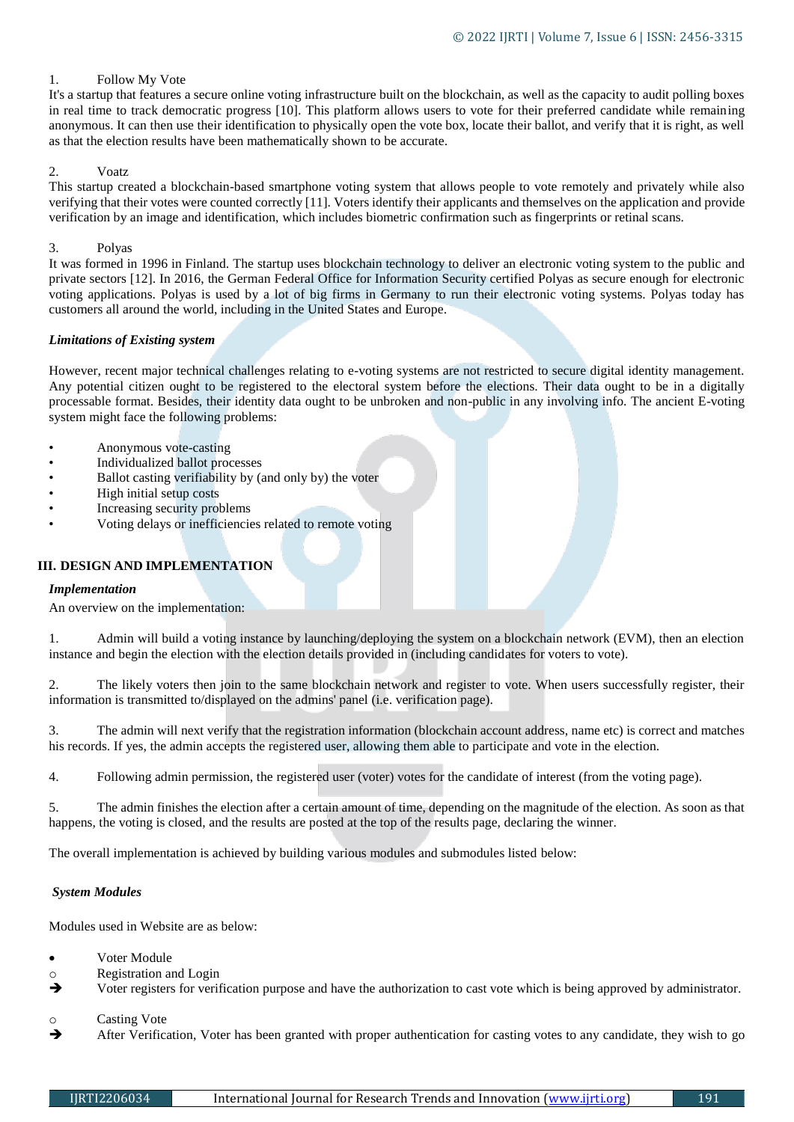# 1. Follow My Vote

It's a startup that features a secure online voting infrastructure built on the blockchain, as well as the capacity to audit polling boxes in real time to track democratic progress [10]. This platform allows users to vote for their preferred candidate while remaining anonymous. It can then use their identification to physically open the vote box, locate their ballot, and verify that it is right, as well as that the election results have been mathematically shown to be accurate.

# 2. Voatz

This startup created a blockchain-based smartphone voting system that allows people to vote remotely and privately while also verifying that their votes were counted correctly [11]. Voters identify their applicants and themselves on the application and provide verification by an image and identification, which includes biometric confirmation such as fingerprints or retinal scans.

#### 3. Polyas

It was formed in 1996 in Finland. The startup uses blockchain technology to deliver an electronic voting system to the public and private sectors [12]. In 2016, the German Federal Office for Information Security certified Polyas as secure enough for electronic voting applications. Polyas is used by a lot of big firms in Germany to run their electronic voting systems. Polyas today has customers all around the world, including in the United States and Europe.

## *Limitations of Existing system*

However, recent major technical challenges relating to e-voting systems are not restricted to secure digital identity management. Any potential citizen ought to be registered to the electoral system before the elections. Their data ought to be in a digitally processable format. Besides, their identity data ought to be unbroken and non-public in any involving info. The ancient E-voting system might face the following problems:

- Anonymous vote-casting
- Individualized ballot processes
- Ballot casting verifiability by (and only by) the voter
- High initial setup costs
- Increasing security problems
- Voting delays or inefficiencies related to remote voting

# **III. DESIGN AND IMPLEMENTATION**

#### *Implementation*

An overview on the implementation:

1. Admin will build a voting instance by launching/deploying the system on a blockchain network (EVM), then an election instance and begin the election with the election details provided in (including candidates for voters to vote).

2. The likely voters then join to the same blockchain network and register to vote. When users successfully register, their information is transmitted to/displayed on the admins' panel (i.e. verification page).

3. The admin will next verify that the registration information (blockchain account address, name etc) is correct and matches his records. If yes, the admin accepts the registered user, allowing them able to participate and vote in the election.

4. Following admin permission, the registered user (voter) votes for the candidate of interest (from the voting page).

5. The admin finishes the election after a certain amount of time, depending on the magnitude of the election. As soon as that happens, the voting is closed, and the results are posted at the top of the results page, declaring the winner.

The overall implementation is achieved by building various modules and submodules listed below:

## *System Modules*

Modules used in Website are as below:

- Voter Module
- o Registration and Login
- Voter registers for verification purpose and have the authorization to cast vote which is being approved by administrator.
- o Casting Vote
- After Verification, Voter has been granted with proper authentication for casting votes to any candidate, they wish to go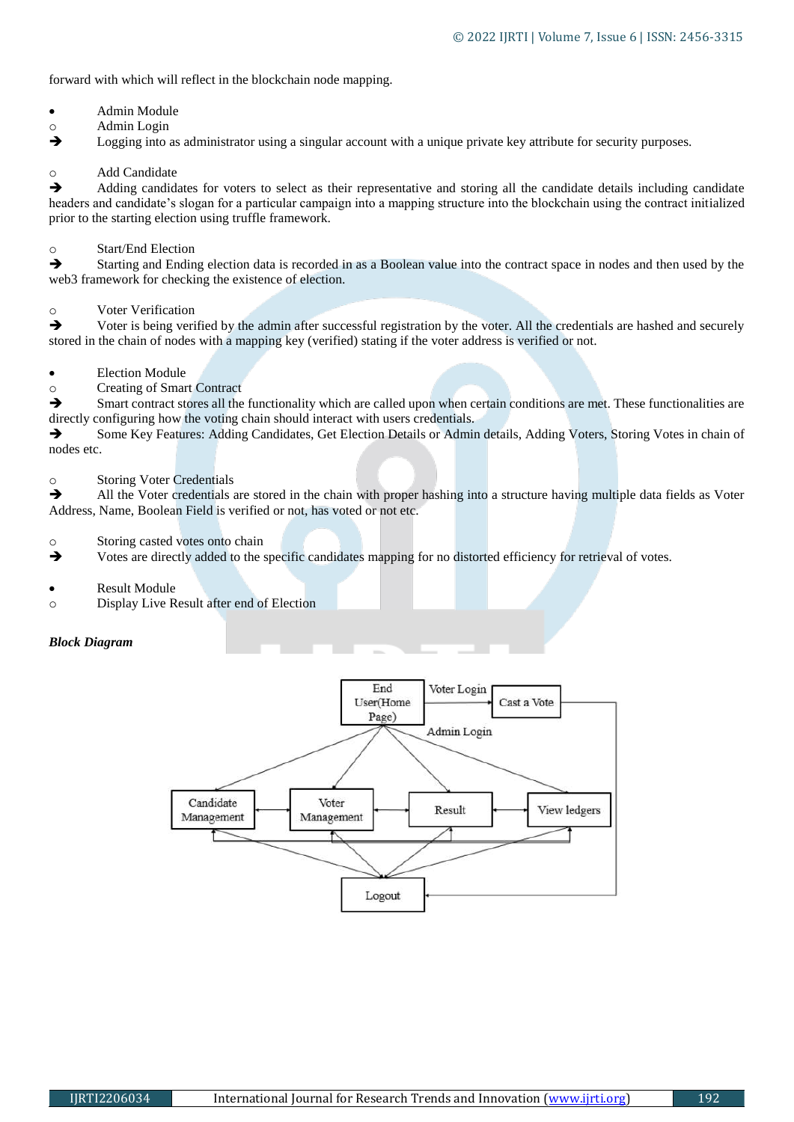forward with which will reflect in the blockchain node mapping.

- Admin Module
- o Admin Login
- $\rightarrow$  Logging into as administrator using a singular account with a unique private key attribute for security purposes.

# o Add Candidate

Adding candidates for voters to select as their representative and storing all the candidate details including candidate headers and candidate's slogan for a particular campaign into a mapping structure into the blockchain using the contract initialized prior to the starting election using truffle framework.

# o Start/End Election

Starting and Ending election data is recorded in as a Boolean value into the contract space in nodes and then used by the web3 framework for checking the existence of election.

# o Voter Verification

 $\rightarrow$  Voter is being verified by the admin after successful registration by the voter. All the credentials are hashed and securely stored in the chain of nodes with a mapping key (verified) stating if the voter address is verified or not.

# Election Module

o Creating of Smart Contract

 $\rightarrow$  Smart contract stores all the functionality which are called upon when certain conditions are met. These functionalities are directly configuring how the voting chain should interact with users credentials.

Some Key Features: Adding Candidates, Get Election Details or Admin details, Adding Voters, Storing Votes in chain of nodes etc.

## o Storing Voter Credentials

All the Voter credentials are stored in the chain with proper hashing into a structure having multiple data fields as Voter Address, Name, Boolean Field is verified or not, has voted or not etc.

o Storing casted votes onto chain

 $\rightarrow$  Votes are directly added to the specific candidates mapping for no distorted efficiency for retrieval of votes.

- Result Module
- o Display Live Result after end of Election

## *Block Diagram*

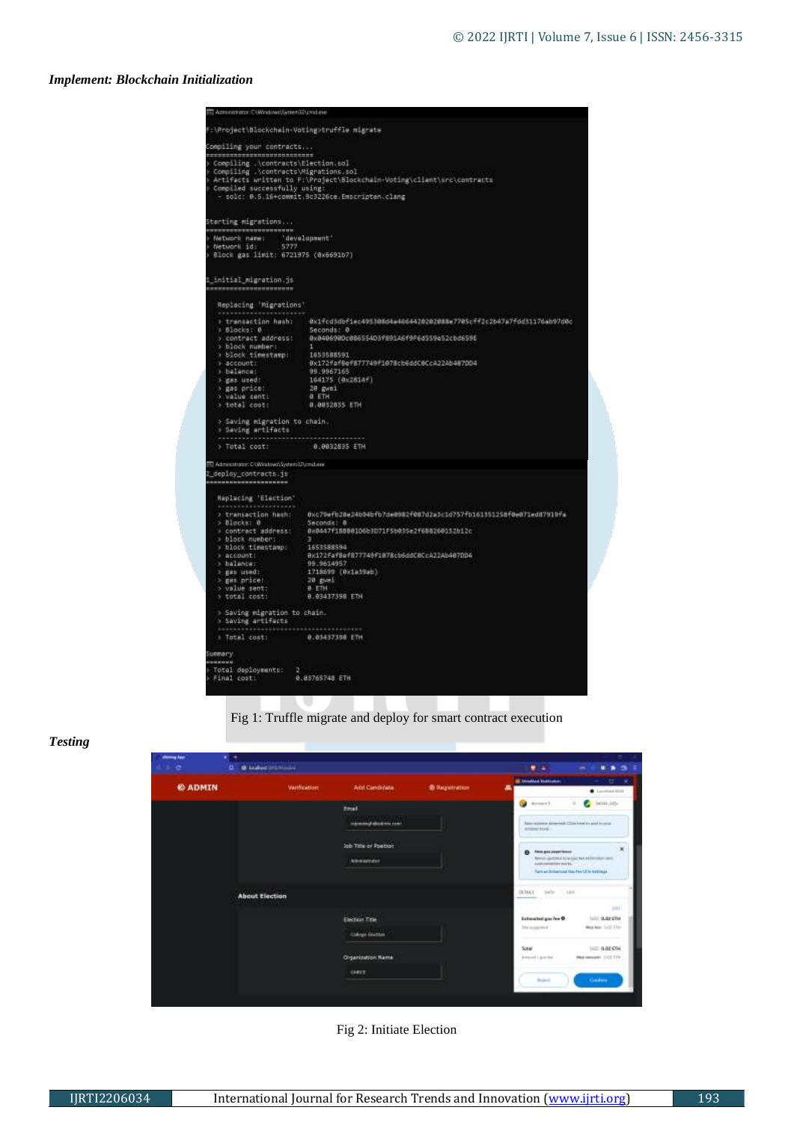# *Implement: Blockchain Initialization*

| F:\Project\Blockchain-Voting>truffle migrate                                                                                                                                                                                                                                                        |
|-----------------------------------------------------------------------------------------------------------------------------------------------------------------------------------------------------------------------------------------------------------------------------------------------------|
| Compiling your contracts<br>**********************<br>> Compiling .\contracts\Election.sol<br>> Compiling .\contracts\Migrations.sol<br>> Artifacts written to F:\Project\Blockchain=Voting\client\src\contracts<br>Compiled successfully using:<br>- solch 0.5.16+commit.9c3226ce.Emscripten.clang |
| 81ock gas limit: 6721975 (8x6691b7)                                                                                                                                                                                                                                                                 |
|                                                                                                                                                                                                                                                                                                     |
| Replacing 'Migrations'                                                                                                                                                                                                                                                                              |
| > transaction hash:<br>0x1fcd5dbf1ec495308d4a4dd4420202088e7705cff2c2b47a7fdd31176ab97d0c<br>Seconds: @<br>> contract address: 0x8406980c886554D3f89146f9F6d559e52cbd659E<br>164175 (0x2814f)<br>20 gwei<br>0 ETH<br>0.0032835 ETH<br>> Saving migration to chain.                                  |
| 0.0032835 ETH                                                                                                                                                                                                                                                                                       |
| Administrator: CIWindows System SAcrabase                                                                                                                                                                                                                                                           |
|                                                                                                                                                                                                                                                                                                     |
| @xc79wfb28e24b94bfb7deB982f087d2x5c1d757fb1613512SBf8e071ed87919fs<br>Seconds; 8<br>@x8447f1588@1D6b3D71F5b@35e2f68826@152b12c<br>-31<br>1653588594<br>Bx172fafBef877749f1878cb6ddCBCcA22Ab487DD4<br>99.9614957<br>1718699 (8x1a39ab)<br>20 gues<br><b>B ETH</b><br>0.03437398 ETH                  |
| > Saving migration to chain.                                                                                                                                                                                                                                                                        |
| 0.03437398 ETH                                                                                                                                                                                                                                                                                      |
|                                                                                                                                                                                                                                                                                                     |
|                                                                                                                                                                                                                                                                                                     |
|                                                                                                                                                                                                                                                                                                     |

# Fig 1: Truffle migrate and deploy for smart contract execution

# *Testing*

| showing Age          |                                           |             |                                                     |                       |                                                                                                                         |
|----------------------|-------------------------------------------|-------------|-----------------------------------------------------|-----------------------|-------------------------------------------------------------------------------------------------------------------------|
| 4.5.0                | <b>O</b> hosted internated<br>o.          |             |                                                     |                       | ٠<br>٠                                                                                                                  |
|                      |                                           | Vertication | Add Candidate                                       | <b>B</b> Registration | <b>Elisoded University</b><br>セーズ                                                                                       |
| <b><i>CADMIN</i></b> |                                           |             |                                                     |                       | a<br>· Louisville                                                                                                       |
|                      |                                           |             | <b>Email</b>                                        |                       | <b>C</b> MALLION<br>domestic.                                                                                           |
|                      |                                           |             | <b>Information of administration in the Company</b> |                       | have accomply please total China intent to paint for couple<br>armerison.                                               |
|                      |                                           |             | Job Title or Position                               |                       | ×<br><b>Hospitalism</b><br>$\bullet$                                                                                    |
|                      |                                           |             | Advancement                                         |                       | Nevis-gidded to a gar has entimated our<br>Jubile including mental.<br>That's are thinkerood that Per CE in the English |
|                      | <b>CAMPIONER</b><br><b>About Election</b> |             |                                                     |                       | OETALL!<br>Toyler.<br>14.1                                                                                              |
|                      |                                           |             | <b>DOM: NUMBER</b>                                  |                       | 1491                                                                                                                    |
|                      |                                           |             | Election Title                                      |                       | Estimated gas fax O<br><b>INTEL GLOST ETM</b><br>Market bill (fty)<br>Distantante                                       |
|                      |                                           |             | Cologn Births                                       |                       |                                                                                                                         |
|                      |                                           |             | <b>Cityanization Name</b>                           |                       | <b>Julie Guide City</b><br>Total:<br><b>Maximum OIITIS</b><br><b>Brewerk E. Admirable</b>                               |
|                      |                                           |             |                                                     |                       |                                                                                                                         |
|                      |                                           |             | <b>GAMES</b>                                        |                       | <b>Continued in</b><br><b>Bushell</b>                                                                                   |
|                      |                                           |             |                                                     |                       |                                                                                                                         |

# Fig 2: Initiate Election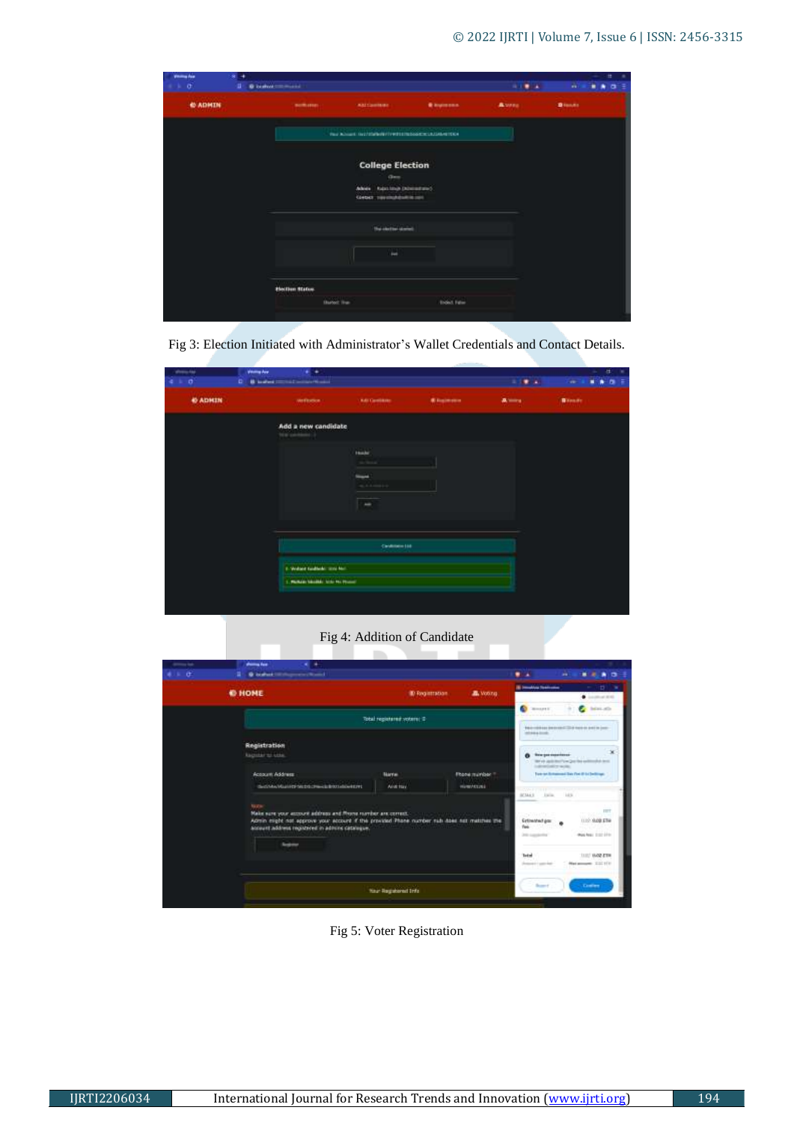| women due<br>$+ 10$ | $\rightarrow$<br>œ.<br>a. | <b>Blocket Community</b> |                                                                       |                               | $1.19 - 4.1$  | 世<br>$\mathbf{m}^{\prime}$ as<br> |
|---------------------|---------------------------|--------------------------|-----------------------------------------------------------------------|-------------------------------|---------------|-----------------------------------|
| <b>CADHIN</b>       |                           | <b>Booth areas</b>       | <b>ARTISHMAN</b>                                                      | <b><i>Chrysled Colors</i></b> | <b>A</b> vana | <b>Bissa</b>                      |
|                     |                           |                          | THE ROLL INTIMATE FITTING CONTROLLED AT THE                           |                               |               |                                   |
|                     |                           |                          | <b>College Election</b><br>Gen                                        |                               |               |                                   |
|                     |                           |                          | Johney Rubs langt December of<br><b>Costel:</b> reported dollars con- |                               |               |                                   |
|                     |                           |                          | <b>The closing classes</b>                                            |                               |               |                                   |
|                     |                           |                          | <b>Fact</b>                                                           |                               |               |                                   |
|                     |                           | <b>Election Status</b>   |                                                                       |                               |               |                                   |
|                     |                           | <b>Barbot Ive</b>        |                                                                       | <b>Ended False</b>            |               |                                   |

Fig 3: Election Initiated with Administrator's Wallet Credentials and Contact Details.

| <b>Posta</b>  | sterms Ave | . .                                   |                       |                         |               | $\alpha$<br>٠ |
|---------------|------------|---------------------------------------|-----------------------|-------------------------|---------------|---------------|
| $\sigma$      |            | D B brakes immunities and contact     |                       |                         | <b>SIMPLA</b> | ٠<br>٠<br>18  |
| <b>CADHIN</b> |            | <b>Vertication</b>                    | <b>KAI Carolinate</b> | <b><i>Chairmann</i></b> | 高田市           | <b>Binado</b> |
|               |            | Add a new candidate<br>big persons it |                       |                         |               |               |
|               |            |                                       | <b>Inale</b>          |                         |               |               |
|               |            |                                       |                       |                         |               |               |
|               |            |                                       | <b>State</b>          |                         |               |               |
|               |            |                                       | $46.6.6$ mm s s s     |                         |               |               |
|               |            |                                       | $\rightarrow$         |                         |               |               |
|               |            |                                       |                       |                         |               |               |
|               |            |                                       |                       |                         |               |               |
|               |            |                                       | Candidate Ltd.        |                         |               |               |
|               |            | 1. Walser tusheds and No.             |                       |                         |               |               |
|               |            | 1. Parker Mobile, S.D. Ro Proces-     |                       |                         |               |               |
|               |            |                                       |                       |                         |               |               |
|               |            |                                       |                       |                         |               |               |
|               |            |                                       |                       |                         |               |               |

Fig 4: Addition of Candidate

| --<br>$\mathbf{r}$ | * *<br><b>President Park</b><br><b>Q bullet Hittings excellent</b>                                                                                                                                              |                               |                                     | $\blacksquare$<br>$29 - 1$                                                                                                                               |                                                                                       |
|--------------------|-----------------------------------------------------------------------------------------------------------------------------------------------------------------------------------------------------------------|-------------------------------|-------------------------------------|----------------------------------------------------------------------------------------------------------------------------------------------------------|---------------------------------------------------------------------------------------|
|                    | <b>@ HOME</b>                                                                                                                                                                                                   | <b>ID Registration</b>        | A. Voorg                            | <b>Billiam Alex Textilene</b>                                                                                                                            | 廿.<br>$+$ interesting                                                                 |
|                    |                                                                                                                                                                                                                 | Total registered voters: 2    |                                     | <b>Comment</b><br><b>FAIL CORN AND DRIVING CORN FOR A SHORN CHAIRS</b><br>industry locals.                                                               | <b>beautiful</b>                                                                      |
|                    | Registration<br><b>Register to Liste</b><br>Account Address<br>decision of any product to the state of the state                                                                                                | <b>Harrist</b><br>Arist trav. | Floorementee 1<br><b>HUMIVELINE</b> | O tragecontess<br>indicated and workers.<br>To breat distances in their Part of the Dedicate<br><b>CONTRACTOR</b>                                        | ×<br>The via application from Date this exchange of detail                            |
| <b>North</b>       | Nake sure your account address and finane rumber are correct.<br>Admin might not approve your account if the provided Phone number rub does not matches the<br>account address registered in adopted catalogue. |                               |                                     | <b>LES</b><br>003461<br><b>Lating</b><br>estas Vil<br><b>Grimstrad por:</b><br>Park.<br>210 Laurabetta<br><b>Total</b><br><b>Protected by Lands Road</b> | <b>IST</b><br>(110) 0.00 STM<br>dealers that it is<br>tant was my<br>Haramont, 232171 |
|                    |                                                                                                                                                                                                                 | <b>Your Registered Info</b>   |                                     | <b>Sunny</b>                                                                                                                                             | - Continue                                                                            |

Fig 5: Voter Registration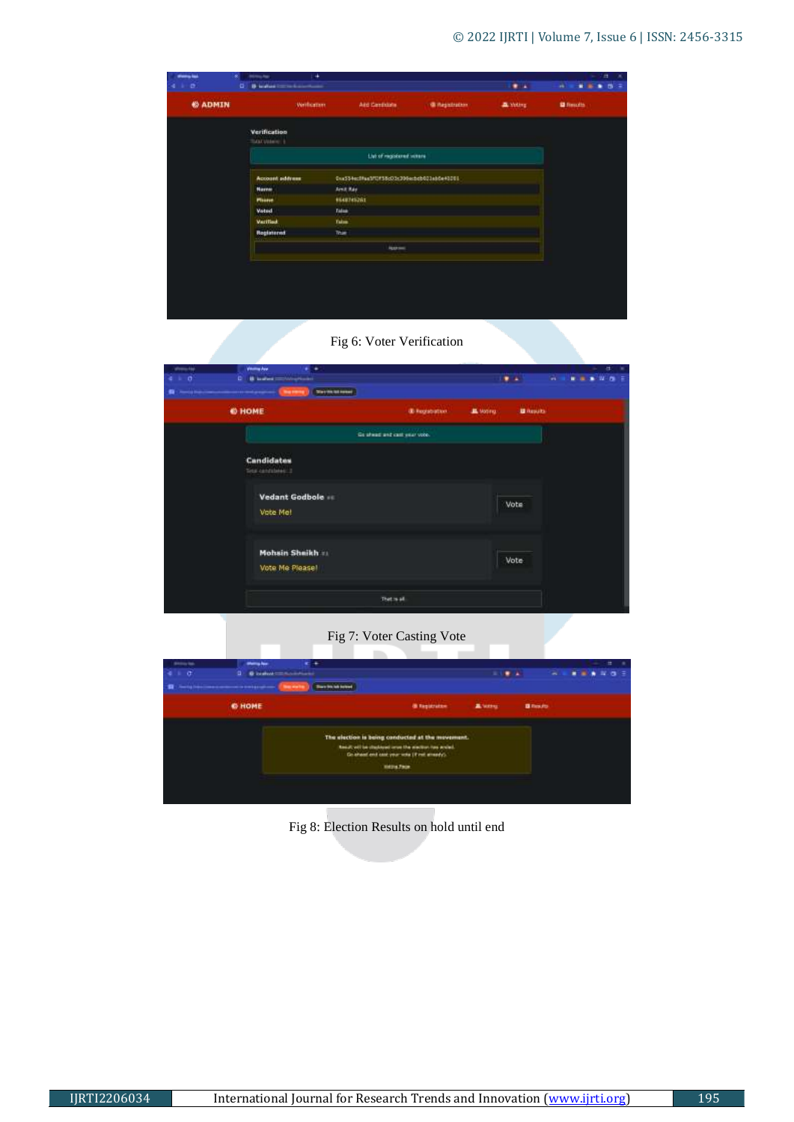| stans in       | <b>DERECK PAR</b>                              | $\rightarrow$ |                                            |                      |                    | $\blacksquare$<br>18               |
|----------------|------------------------------------------------|---------------|--------------------------------------------|----------------------|--------------------|------------------------------------|
| $\mathbf{B}$   | <b>B</b> industrial control and contained<br>۰ |               |                                            |                      | $\bullet$          | w<br>$\blacksquare$<br>۰<br>ಾ<br>٠ |
| <b>6 ADMIN</b> |                                                | Weilkatten    | Aid Certidate                              | <b>Gillegatraten</b> | <b>B</b> . Volling | <b>IZ</b> Frenchs                  |
|                | Verification<br>TOOL USE HE                    |               |                                            |                      |                    |                                    |
|                |                                                |               | List of registered winny                   |                      |                    |                                    |
|                | <b>Account address</b>                         |               | 0xx534ccffax3fQf58cO3x300xcbdb023xb8e40003 |                      |                    |                                    |
|                | Harner                                         |               | Amit Ray                                   |                      |                    |                                    |
|                | <b>Philese</b>                                 |               | <b>BEAUTASJAI</b>                          |                      |                    |                                    |
|                | <b>Vated</b>                                   | Talen         |                                            |                      |                    |                                    |
|                | <b>Varilled</b>                                | <b>Talen</b>  |                                            |                      |                    |                                    |
|                | Registered                                     | Tour          |                                            |                      |                    |                                    |
|                | <b>SYSTE</b>                                   |               | Approved.                                  |                      |                    |                                    |
|                |                                                |               |                                            |                      |                    |                                    |
|                |                                                |               |                                            |                      |                    |                                    |
|                |                                                |               |                                            |                      |                    |                                    |
|                |                                                |               |                                            |                      |                    |                                    |
|                |                                                |               |                                            |                      |                    |                                    |
|                |                                                |               |                                            |                      |                    |                                    |

# Fig 6: Voter Verification

| shows tar           | Winnipedia<br>٠                   |                               |          |                  |   | a<br>$\sim$ |   |
|---------------------|-----------------------------------|-------------------------------|----------|------------------|---|-------------|---|
| $\alpha$<br>$4 - 1$ | <b>B</b> leates convergences<br>œ |                               |          | $\bullet$        | w | 1 1 1 1 1 1 | ÷ |
| <b>G</b> Chemical   | <b>Terminism</b><br><b>Bally</b>  |                               |          |                  |   |             |   |
|                     | <b>© HOME</b>                     | (B) Registration              | A Motivo | <b>U</b> Results |   |             |   |
|                     |                                   | Go alwait and cast year vote. |          |                  |   |             |   |
|                     | Candidates<br>Tetal cardialeter 3 |                               |          |                  |   |             |   |
|                     | Vedant Godbole<br>Vote Met        |                               |          | Vote             |   |             |   |
|                     | Mohsin Shaikh<br>Vote Me Please!  |                               |          | Vote             |   |             |   |
|                     |                                   | That is all                   |          |                  |   |             |   |

# Fig 7: Voter Casting Vote

| <b>Shifting Sec</b><br>$\frac{1}{2}$                                            |                                     |                                                                                                                                 |                                                  |                  |
|---------------------------------------------------------------------------------|-------------------------------------|---------------------------------------------------------------------------------------------------------------------------------|--------------------------------------------------|------------------|
| <b>O bighter consideration</b>                                                  |                                     |                                                                                                                                 |                                                  |                  |
| The Eq. (visual company content of the Edit & Eq.(E.C.)).<br><b>They wanted</b> |                                     |                                                                                                                                 |                                                  |                  |
| <b>6 HOME</b>                                                                   | <b><i><u>B Registration</u></i></b> | <b>B.</b> Waldrey                                                                                                               |                                                  |                  |
|                                                                                 |                                     |                                                                                                                                 |                                                  |                  |
|                                                                                 | Hittin Finish                       |                                                                                                                                 |                                                  |                  |
|                                                                                 |                                     |                                                                                                                                 |                                                  |                  |
|                                                                                 |                                     | <b>Barn Striph American</b><br>Need will be shadowd once the westerning world.<br>Go sheet and cast year rote (if not streety). | The election is being conducted at the movement. | <b>B</b> Results |

Fig 8: Election Results on hold until end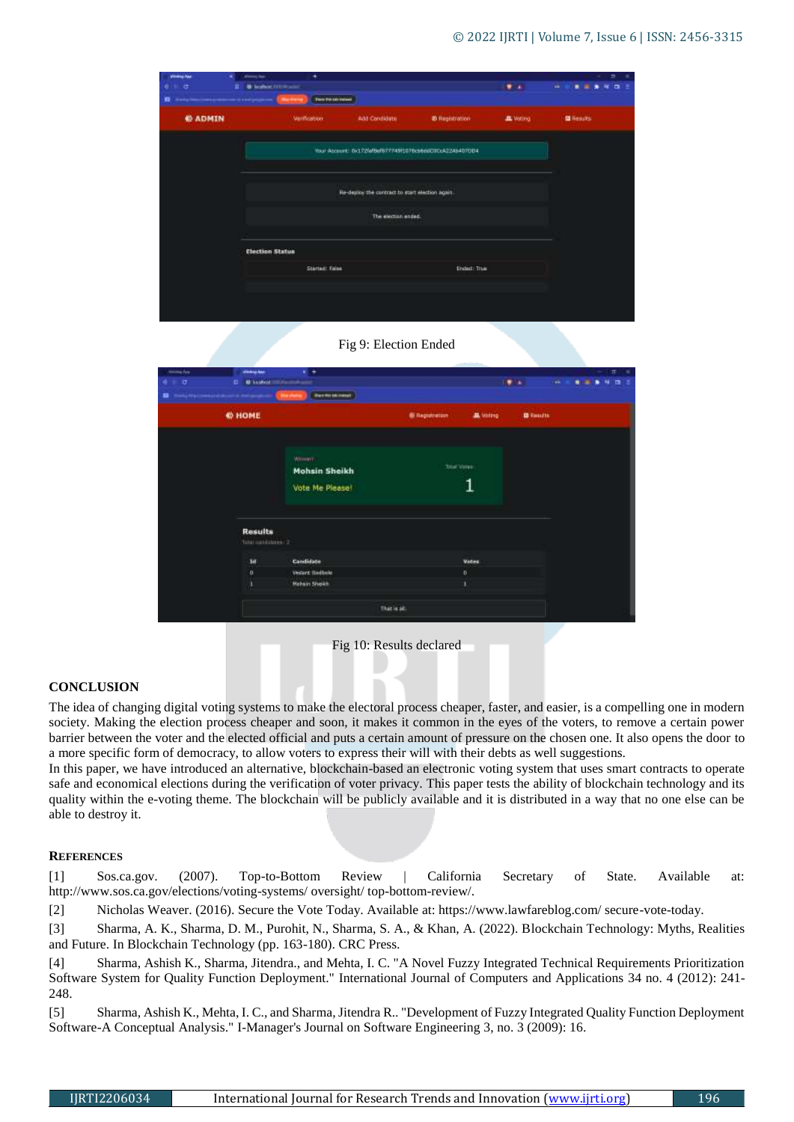| <b>Windows Asst</b><br>$0 + 0$<br>۰ | $ -$<br><b>B' leaders to the auto-</b><br><b><i><u>Institute</u></i></b> | ۰<br><b>Restrictions</b> |                                                 |                                                         | $\cdots$         | $\Rightarrow$<br>٠<br>$-$<br>m<br>ь<br>۰ |
|-------------------------------------|--------------------------------------------------------------------------|--------------------------|-------------------------------------------------|---------------------------------------------------------|------------------|------------------------------------------|
| <b>@ ADMIN</b>                      |                                                                          | <b>Valification:</b>     | <b>Add Condidate</b>                            | @ Registration                                          | <b>JE</b> Witing | <b>Di</b> Results                        |
|                                     |                                                                          |                          |                                                 | Your Account: 0x172fef6d677745ft076c56e6C3C6422454070D4 |                  |                                          |
|                                     |                                                                          |                          | He-degree the contract to start election again. |                                                         |                  |                                          |
|                                     |                                                                          |                          | The election ended.                             |                                                         |                  |                                          |
|                                     | <b>Election Status</b>                                                   |                          |                                                 |                                                         |                  |                                          |
|                                     |                                                                          | Started: False           |                                                 | Ended: True                                             |                  |                                          |
|                                     |                                                                          |                          |                                                 |                                                         |                  |                                          |
|                                     |                                                                          |                          |                                                 |                                                         |                  |                                          |

Fig 9: Election Ended

| station for<br>ö<br>$\bullet$<br><b>B</b> 1994 | <b>Windows</b><br>ь.                  | $\cdot$<br><b>U</b> health more makes in<br><b>Bestimblings</b><br><b>Strategic</b> |                       |                 | $\bullet$         | ш |  | Ħ<br>в<br>٠ |
|------------------------------------------------|---------------------------------------|-------------------------------------------------------------------------------------|-----------------------|-----------------|-------------------|---|--|-------------|
|                                                | <b>@ HOME</b>                         |                                                                                     | <b>B</b> Registration | <b>A</b> Voting | <b>ID</b> Results |   |  |             |
|                                                |                                       | Winner:<br><b>Mohsin Sheikh</b><br>Vote Me Please!                                  | <b>Total Virigo</b>   | 1               |                   |   |  |             |
|                                                | <b>Results</b><br>Telefond children 2 |                                                                                     |                       |                 |                   |   |  |             |
|                                                | 3d                                    | Candidate                                                                           |                       | Votes           |                   |   |  |             |
|                                                |                                       | Vecure Switcher                                                                     |                       | ö               |                   |   |  |             |
|                                                | $\frac{1}{1}$                         | <b>Mehain Sheikh</b>                                                                |                       | ı               |                   |   |  |             |
|                                                |                                       |                                                                                     | that is all.          |                 |                   |   |  |             |

Fig 10: Results declared

## **CONCLUSION**

The idea of changing digital voting systems to make the electoral process cheaper, faster, and easier, is a compelling one in modern society. Making the election process cheaper and soon, it makes it common in the eyes of the voters, to remove a certain power barrier between the voter and the elected official and puts a certain amount of pressure on the chosen one. It also opens the door to a more specific form of democracy, to allow voters to express their will with their debts as well suggestions.

In this paper, we have introduced an alternative, blockchain-based an electronic voting system that uses smart contracts to operate safe and economical elections during the verification of voter privacy. This paper tests the ability of blockchain technology and its quality within the e-voting theme. The blockchain will be publicly available and it is distributed in a way that no one else can be able to destroy it.

## **REFERENCES**

[1] Sos.ca.gov. (2007). Top-to-Bottom Review | California Secretary of State. Available at: http://www.sos.ca.gov/elections/voting-systems/ oversight/ top-bottom-review/.

[2] Nicholas Weaver. (2016). Secure the Vote Today. Available at: https://www.lawfareblog.com/ secure-vote-today.

[3] Sharma, A. K., Sharma, D. M., Purohit, N., Sharma, S. A., & Khan, A. (2022). Blockchain Technology: Myths, Realities and Future. In Blockchain Technology (pp. 163-180). CRC Press.

[4] Sharma, Ashish K., Sharma, Jitendra., and Mehta, I. C. "A Novel Fuzzy Integrated Technical Requirements Prioritization Software System for Quality Function Deployment." International Journal of Computers and Applications 34 no. 4 (2012): 241- 248.

[5] Sharma, Ashish K., Mehta, I. C., and Sharma, Jitendra R.. "Development of Fuzzy Integrated Quality Function Deployment Software-A Conceptual Analysis." I-Manager's Journal on Software Engineering 3, no. 3 (2009): 16.